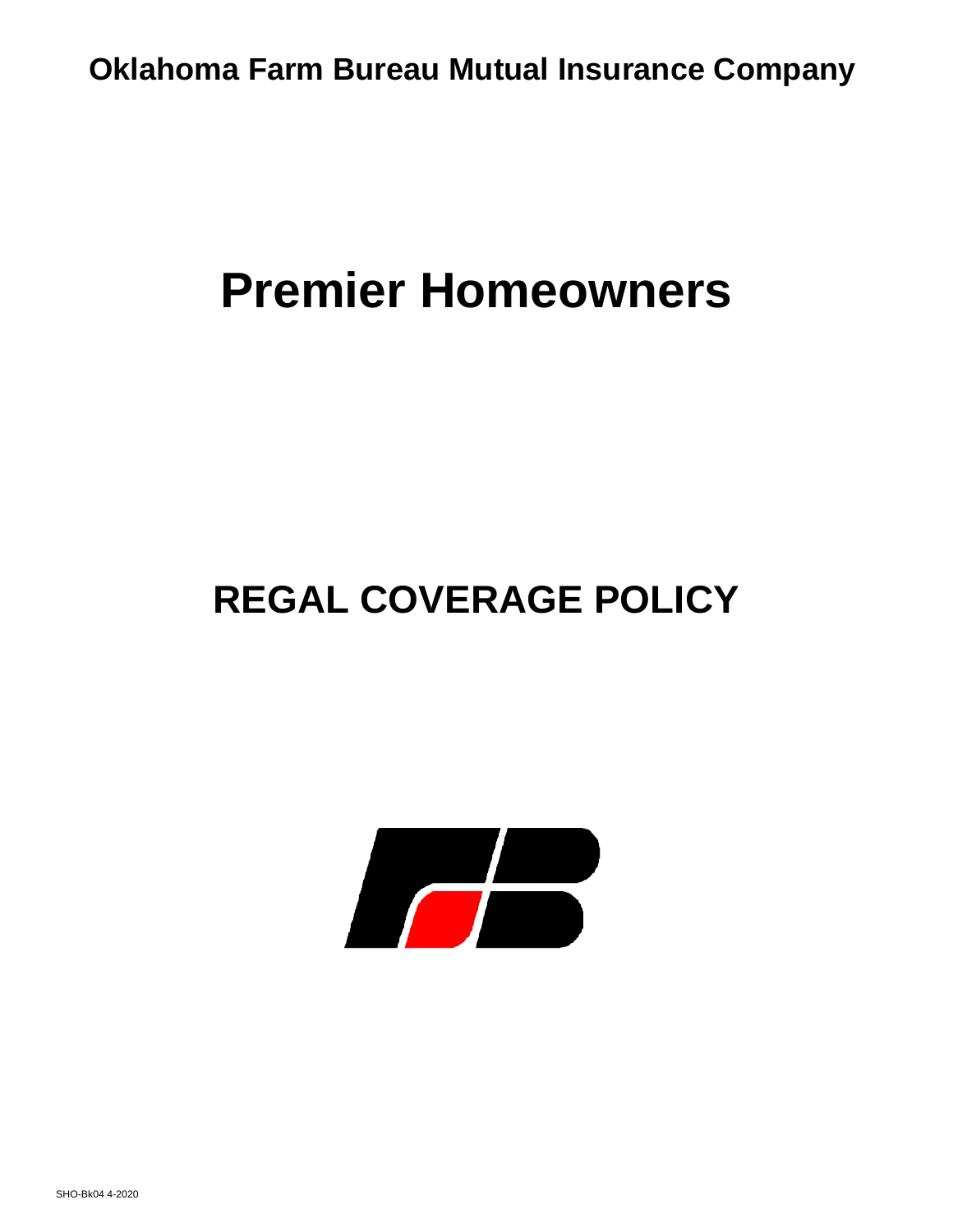**Oklahoma Farm Bureau Mutual Insurance Company** 

# **Premier Homeowners**

## **REGAL COVERAGE POLICY**

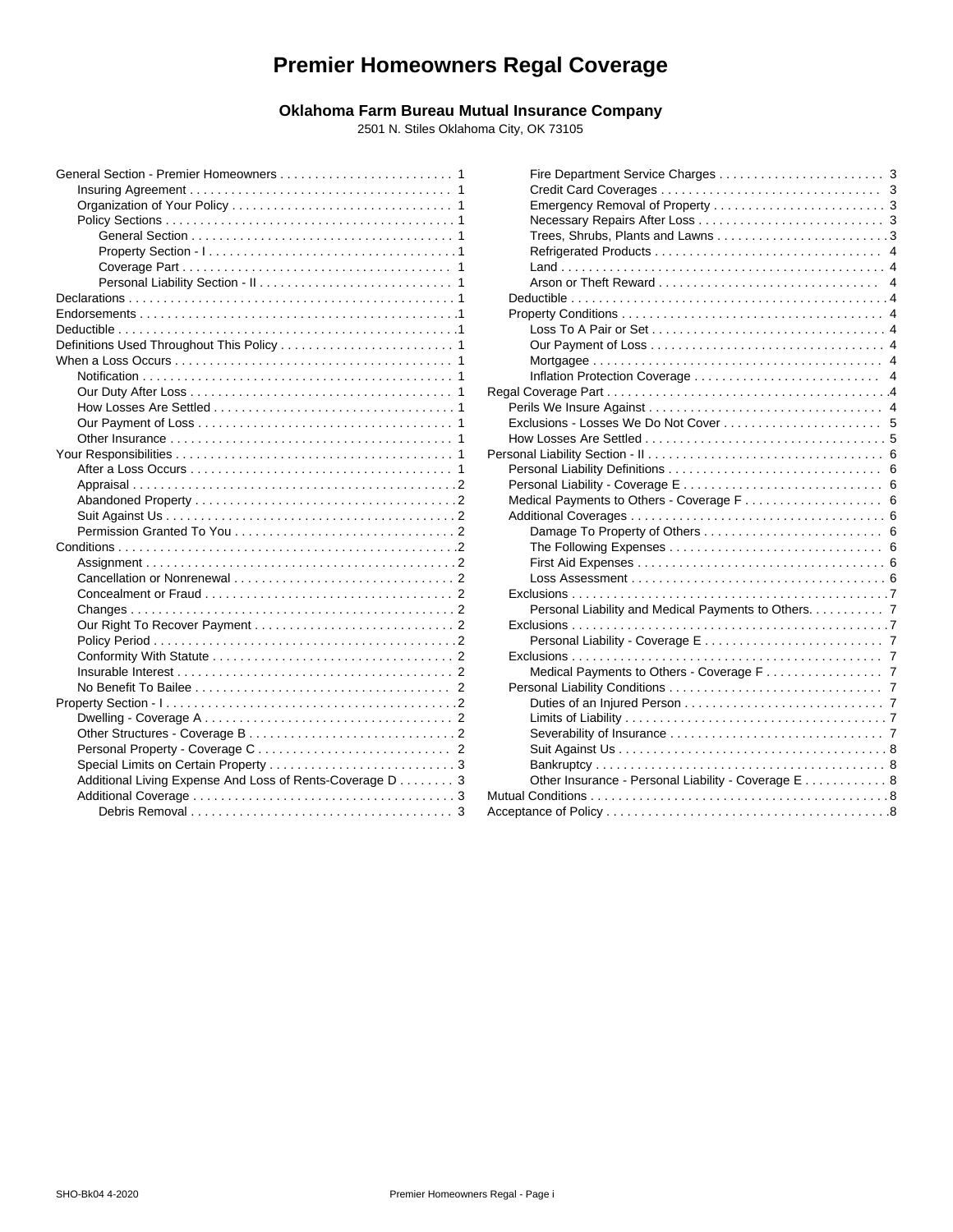## **Premier Homeowners Regal Coverage**

## **Oklahoma Farm Bureau Mutual Insurance Company**

2501 N. Stiles Oklahoma City, OK 73105

|                                                          | Rega |
|----------------------------------------------------------|------|
|                                                          |      |
|                                                          |      |
|                                                          |      |
|                                                          | Pers |
|                                                          |      |
|                                                          |      |
|                                                          |      |
|                                                          |      |
|                                                          |      |
|                                                          |      |
|                                                          |      |
|                                                          |      |
|                                                          | F    |
|                                                          |      |
|                                                          |      |
|                                                          |      |
|                                                          |      |
|                                                          |      |
|                                                          |      |
|                                                          |      |
|                                                          |      |
|                                                          |      |
|                                                          |      |
|                                                          |      |
| Additional Living Expense And Loss of Rents-Coverage D 3 |      |
|                                                          | Mutu |
|                                                          | Acce |
|                                                          |      |

| 1              |                                                                                                       |
|----------------|-------------------------------------------------------------------------------------------------------|
| 1              |                                                                                                       |
| 1              |                                                                                                       |
| 1              |                                                                                                       |
| 1              |                                                                                                       |
| 1              |                                                                                                       |
| 1              |                                                                                                       |
| 1              |                                                                                                       |
| 1              |                                                                                                       |
| 1              |                                                                                                       |
| 1              |                                                                                                       |
| 1              |                                                                                                       |
| 1              |                                                                                                       |
| 1              |                                                                                                       |
| 1              |                                                                                                       |
| 1              |                                                                                                       |
| 1              |                                                                                                       |
| 1              | How Losses Are Settled $\ldots \ldots \ldots \ldots \ldots \ldots \ldots \ldots \ldots \ldots \ldots$ |
| 1              |                                                                                                       |
| 1              |                                                                                                       |
| 2              |                                                                                                       |
| 2              |                                                                                                       |
| 2              |                                                                                                       |
| 2              |                                                                                                       |
| 2              |                                                                                                       |
| 2              |                                                                                                       |
| 2              |                                                                                                       |
| 2              |                                                                                                       |
| $\overline{2}$ | Personal Liability and Medical Payments to Others. 7                                                  |
| $\overline{2}$ |                                                                                                       |
| $\overline{2}$ |                                                                                                       |
| 2              |                                                                                                       |
| 2              |                                                                                                       |
| $\overline{c}$ |                                                                                                       |
| 2              |                                                                                                       |
| 2              |                                                                                                       |
| 2              |                                                                                                       |
| $\overline{2}$ |                                                                                                       |
| 3              |                                                                                                       |
| 3              | Other Insurance - Personal Liability - Coverage E 8                                                   |
| 3              |                                                                                                       |
| 3              |                                                                                                       |
|                |                                                                                                       |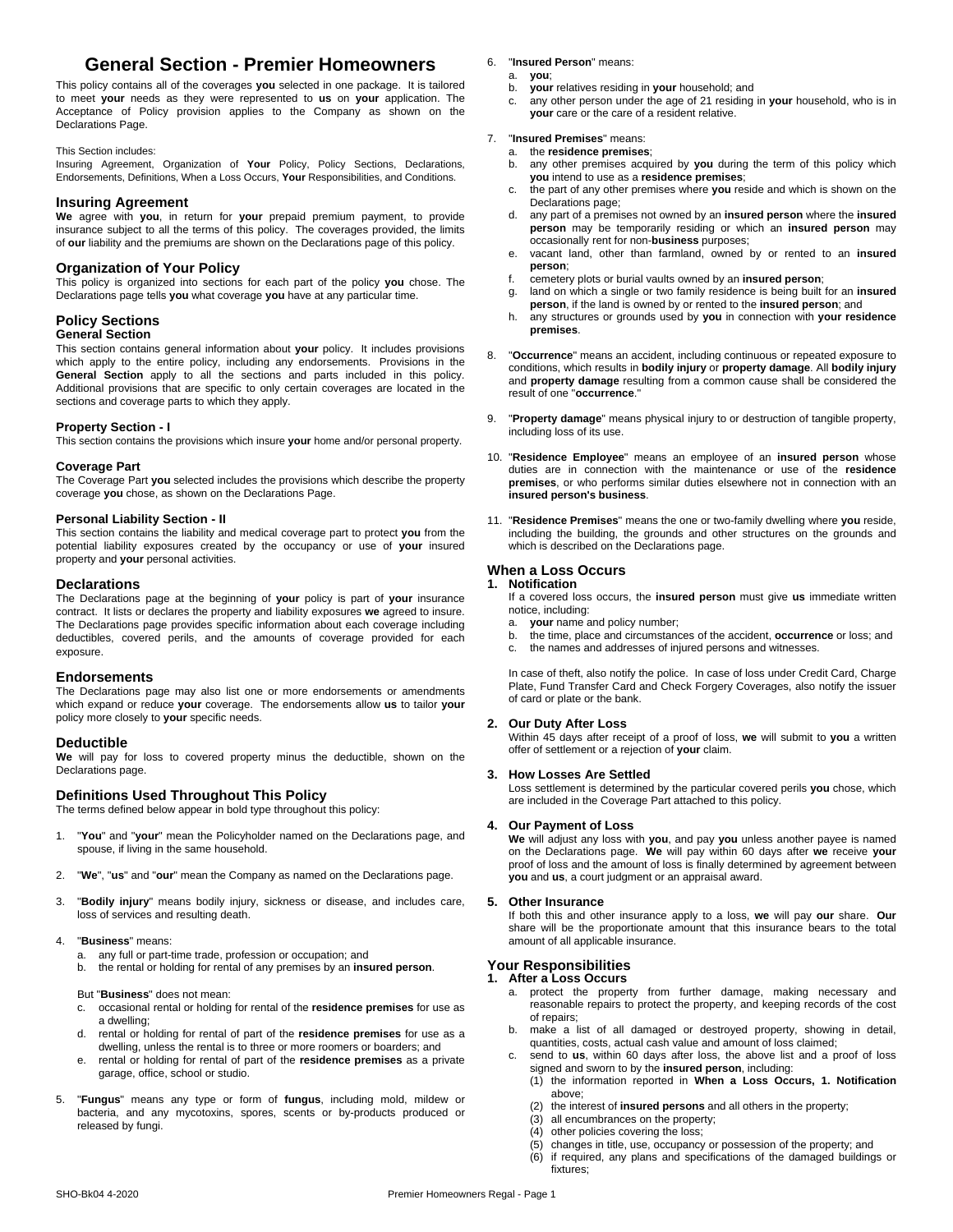## **General Section - Premier Homeowners** 6. "**Insured Person**" means:

This policy contains all of the coverages **you** selected in one package. It is tailored to meet **your** needs as they were represented to **us** on **your** application. The Acceptance of Policy provision applies to the Company as shown on the Declarations Page.

#### This Section includes:

Insuring Agreement, Organization of **Your** Policy, Policy Sections, Declarations, Endorsements, Definitions, When a Loss Occurs, **Your** Responsibilities, and Conditions.

#### **Insuring Agreement**

**We** agree with **you**, in return for **your** prepaid premium payment, to provide insurance subject to all the terms of this policy. The coverages provided, the limits of **our** liability and the premiums are shown on the Declarations page of this policy.

#### **Organization of Your Policy**

This policy is organized into sections for each part of the policy **you** chose. The the policy is organized into sections for each part of the policy **you** chose. The policy is organized into sections for each part over a Declarations page tells **you** what coverage **you** have at any particular time.

#### **Policy Sections**

#### **General Section**

This section contains general information about **your** policy. It includes provisions which apply to the entire policy, including any endorsements. Provisions in the **General Section** apply to all the sections and parts included in this policy. Additional provisions that are specific to only certain coverages are located in the sections and coverage parts to which they apply.

#### **Property Section - I**

This section contains the provisions which insure **your** home and/or personal property.

#### **Coverage Part**

The Coverage Part **you** selected includes the provisions which describe the property coverage **you** chose, as shown on the Declarations Page.

#### **Personal Liability Section - II**

This section contains the liability and medical coverage part to protect **you** from the potential liability exposures created by the occupancy or use of **your** insured property and **your** personal activities.

#### **Declarations**

The Declarations page at the beginning of **your** policy is part of **your** insurance contract. It lists or declares the property and liability exposures **we** agreed to insure. The Declarations page provides specific information about each coverage including a deductibles covered perils and the amounts of coverage provided for each b. deductibles, covered perils, and the amounts of coverage provided for each b.<br>
corporation exposure.

#### **Endorsements**

The Declarations page may also list one or more endorsements or amendments which expand or reduce **your** coverage. The endorsements allow **us** to tailor **your** policy more closely to **your** specific needs.

#### **Deductible**

**We** will pay for loss to covered property minus the deductible, shown on the Declarations page.

#### **Definitions Used Throughout This Policy**

The terms defined below appear in bold type throughout this policy:

- "You" and "your" mean the Policyholder named on the Declarations page, and spouse, if living in the same household.
- 2. "**We**", "**us**" and "**our**"mean the Company as named on the Declarations page.
- 3. "**Bodily injury**" means bodily injury, sickness or disease, and includes care, loss of services and resulting death.
- 4. "**Business**" means:
	- a. any full or part-time trade, profession or occupation; and
	- b. the rental or holding for rentalof any premises by an **insured person**.

But "**Business**" does not mean:

- c. occasional rental or holding for rentalof the **residence premises** for use as a dwelling;
- d. rental or holding for rental of part of the **residence premises** for use as a dwelling, unless the rental is to three or more roomers or boarders; and<br>rental as helding for rental of part of the regidence promises as a private
- e. rental or holding for rental of part of the **residence premises** as a private garage, office, school or studio.
- 5. "**Fungus**" means any type or form of **fungus**, including mold, mildew or bacteria, and any mycotoxins, spores, scents or by-products produced or released by fungi.

- a. **you**;
- b. **your** relatives residing in **your** household; and
- any other person under the age of 21 residing in your household, who is in **your** care or the care of a resident relative.

#### 7. "**Insured Premises**" means:

a. the **residence premises**;

- any other premises acquired by you during the term of this policy which **you** intend to use as a **residence premises**;
- c. the part of any other premises where **you** reside and which is shown on the Declarations page;
- d. any part of a premises not owned by an **insured person** where the **insured person** may be temporarily residing or which an **insured person** may occasionally rent for non-**business** purposes;
- vacant land, other than farmland, owned by or rented to an *insured* **person**;
- f. cemetery plots or burial vaults owned by an **insured person**;
- land on which a single or two family residence is being built for an *insured* **person**, if the land is owned by or rented to the **insured person**; and
- h. any structures or grounds used by **you** in connection with **your residence premises**.
- 8. "**Occurrence**" means an accident, including continuous or repeated exposure to conditions, which results in **bodily injury** or **property damage**. All **bodily injury** and **property damage** resulting from a common cause shall be considered the result of one "**occurrence**."
- 9. "**Property damage**" means physical injury to or destruction of tangible property, including loss of its use.
- 10. "**Residence Employee**" means an employee of an **insured person** whose duties are in connection with the maintenance or use of the **residence premises**, or who performs similar duties elsewhere not in connection with an **insured person's business**.
- 11. "**Residence Premises**" means the one or two-family dwelling where **you** reside, including the building, the grounds and other structures on the grounds and which is described on the Declarations page.

#### **When a Loss Occurs**

#### **1. Notification** If a covered loss occurs, the **insured person** must give **us** immediate written

- notice, including:
- a. **your** name and policy number;
- b. the time, place and circumstances of the accident, **occurrence** or loss; and
- the names and addresses of injured persons and witnesses.

In case of theft, also notify the police. In case of loss under Credit Card, Charge Plate, Fund Transfer Card and Check Forgery Coverages, also notify the issuer of card or plate or the bank.

#### **2. Our Duty After Loss**

Within 45 days after receipt of a proof of loss, **we** will submit to **you** a written offer of settlement or a rejection of **your** claim.

#### **3. How Losses Are Settled**

Loss settlement is determined by the particular covered perils **you** chose, which are included in the Coverage Part attached to this policy.

#### **4. Our Payment of Loss**

**We** will adjust any loss with **you**, and pay **you** unless another payee is named on the Declarations page. **We** will pay within 60 days after **we** receive **your** proof of loss and the amount of loss is finally determined by agreement between **you** and us, a court judgment or an appraisal award.

#### **5. Other Insurance**

If both this and other insurance apply to a loss, **we** will pay **our** share. **Our** share will be the proportionate amount that this insurance bears to the total amount of all applicable insurance.

#### **Your Responsibilities**

#### **1. After a Loss Occurs**

- a. protect the property from further damage, making necessary and reasonable repairs to protect the property, and keeping records of the cost of repairs;
- b. make a list of all damaged or destroyed property, showing in detail, quantities, costs, actual cash value and amount of loss claimed;
- send to **us**, within 60 days after loss, the above list and a proof of loss signed and sworn to by the **insured person**, including:
	- (1) the information reported in **When a Loss Occurs, 1. Notification** above;
	- (2) the interest of **insured persons** and all others in the property;<br>(3) all encumbrances on the property;
	- all encumbrances on the property;
	- (4) other policies covering the loss;
	- (5) changes in title, use, occupancy or possession of the property; and
	- (6) if required, any plans and specifications of the damaged buildings or fixtures;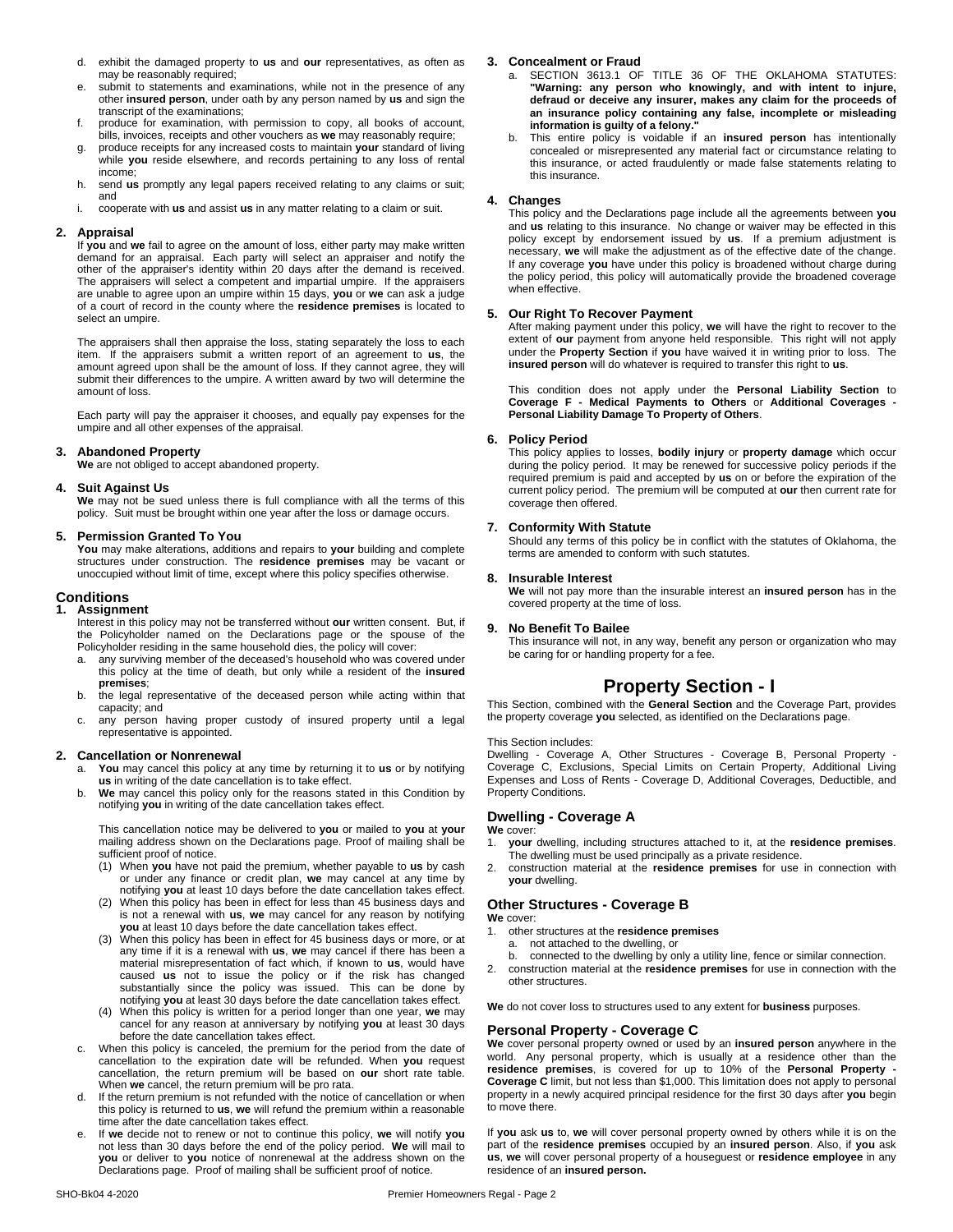- d. exhibit the damaged property to **us** and **our**representatives, as often as may be reasonably required;
- e. submit to statements and examinations, while not in the presence of any other **insured person**, under oath by any person named by **us** and sign the transcript of the examinations;
- f. produce for examination, with permission to copy, all books of account, bills, invoices, receipts and other vouchers as **we** may reasonably require;
- g. produce receipts for any increased costs to maintain **your** standard of living while **you** reside elsewhere, and records pertaining to any loss of rental income;
- h. send **us** promptly any legal papers received relating to any claims or suit; and
- i. cooperate with **us** and assist **us** in any matter relating to a claim or suit.

#### **2. Appraisal**

If **you** and **we** fail to agree on the amount of loss, either party may make written demand for an appraisal. Each party will select an appraiser and notify the other of the appraiser's identity within 20 days after the demand is received. The appraisers will select a competent and impartial umpire. If the appraisers are unable to agree upon an umpire within 15 days, **you** or **we** can ask a judge of a court of record in the county where the **residence premises** is located to select an umpire.

The appraisers shall then appraise the loss, stating separately the loss to each item. If the appraisers submit a written report of an agreement to **us**, the amount agreed upon shall be the amount of loss. If they cannot agree, they will submit their differences to the umpire. A written award by two will determine the amount of loss.

Each party will pay the appraiser it chooses, and equally pay expenses for the **Persor**<br>umpire and all other expenses of the appraisal.

#### **3. Abandoned Property**

**We** are not obliged to accept abandoned property.

#### **4. Suit Against Us**

**We** may not be sued unless there is full compliance with all the terms of this cover<br>policy. Suit must be brought within one year after the loss or damage occurs.

#### **5. Permission Granted To You**

**You** may make alterations, additions and repairs to **your** building and complete structures under construction. The **residence premises** may be vacant or unoccupied without limit of time, except where this policy specifies otherwise.

#### **Conditions**

#### **1. Assignment**

Interest in this policy may not be transferred without**our** written consent. But, if the Policyholder named on the Declarations page or the spouse of the Policyholder residing in the same household dies, the policy will cover:

- a. any surviving member of the deceased's household who was covered under this policy at the time of death, but only while a resident of the **insured premises**;
- b. the legal representative of the deceased person while acting within that capacity; and
- c. any person having proper custody of insured property until a legal representative is appointed.

#### **2. Cancellation or Nonrenewal**

- You may cancel this policy at any time by returning it to us or by notifying **us** in writing of the date cancellation is to take effect.
- b. **We** may cancel this policy only for the reasons stated in this Condition by notifying **you** in writing of the date cancellation takes effect.

This cancellation notice may be delivered to **you** or mailed to **you** at **your** mailing address shown on the Declarations page. Proof of mailing shall be 1. sufficient proof of notice.

- (1) When you have not paid the premium, whether payable to us by cash or under any finance or credit plan, **we** may cancel at any time by notifying **you** at least 10 days before the date cancellation takes effect.
- (2) When this policy has been in effect for less than 45 business days and is not a renewal with **us**, **we** may cancel for any reason by notifying **you** at least 10 days before the date cancellation takes effect.
- **you** at least 10 days before the date cancellation takes effect.<br>(3) When this policy has been in effect for 45 business days or more, or at any time if it is a renewal with **us**, **we** may cancel if there has been a material misrepresentation of fact which, if known to **us**, would have caused us not to issue the policy or if the risk has changed substantially since the policy was issued. This can be done by notifying **you** at least 30 days before the date cancellation takes effect.
- (4) When this policy is written for a period longer than one year, **we** may cancel for any reason at anniversary by notifying **you** at least 30 days before the date cancellation takes effect.
- c. When this policy is canceled, the premium for the period from the date of cancellation to the expiration date will be refunded. When **you** request work<br>cancellation, the return premium will be based on **our** short rate table. **Tesic** When **we** cancel, the return premium will be pro rata.
- If the return premium is not refunded with the notice of cancellation or when this policy is returned to **us**, **we** will refund the premium within areasonable time after the date cancellation takes effect.
- e. If **we** decide not to renew or not to continue this policy, **we** will notify **you** not less than 30 days before the end of the policy period. **We** will mail to **you** or deliver to **you** notice of nonrenewal at the address shown on the Declarations page. Proof of mailing shall be sufficient proof of notice.

#### **3. Concealment or Fraud**

- a. SECTION 3613.1 OF TITLE 36 OF THE OKLAHOMA STATUTES: **"Warning: any person who knowingly, and with intent to injure, defraud or deceive any insurer, makes any claim for the proceeds of an insurance policy containing any false, incomplete or misleading information is guilty of a felony."**
- b. This entire policy is voidable if an **insured person** has intentionally concealed or misrepresented any material fact or circumstance relating to this insurance, or acted fraudulently or made false statements relating to this insurance.

#### **4. Changes**

This policy and the Declarations page include all the agreements between **you** and **us** relating to this insurance. No change or waiver may be effected in this policy except by endorsement issued by **us**. If a premium adjustment is necessary, we will make the adjustment as of the effective date of the change. If any coverage you have under this policy is broadened without charge during the policy period, this policy will automatically provide the broadened coverage when effective.

#### **5. Our Right To Recover Payment**

After making payment under this policy, **we** will have the right to recover to the extent of **our** payment from anyone held responsible. This right will not apply under the **Property Section** if **you** have waived it in writing prior to loss. The **insured person** will do whatever is required to transfer this right to **us**.

This condition does not apply under the **Personal Liability Section** to **Coverage F - Medical Payments to Others** or **Additional Coverages - Personal Liability Damage To Property of Others**.

#### **6. Policy Period**

This policy applies to losses,**bodily injury** or **property damage** which occur during the policy period. It may be renewed for successive policy periods if the required premium is paid and accepted by **us** on or before the expiration of the current policy period. The premium will be computed at **our** then current rate for coverage then offered.

#### **7. Conformity With Statute**

Should any terms of this policy be in conflict with the statutes of Oklahoma, the terms are amended to conform with such statutes.

#### **8. Insurable Interest**

We will not pay more than the insurable interest an *insured* person has in the covered property at the time of loss.

#### **9. No BenefitTo Bailee**

This insurance will not, in any way, benefit any person or organization who may be caring for or handling property for a fee.

## **Property Section - I**

This Section, combined with the **General Section** and the Coverage Part, provides the property coverage you selected, as identified on the Declarations page.

#### This Section includes:

Dwelling - Coverage A, Other Structures - Coverage B, Personal Property - Coverage C, Exclusions, Special Limits on Certain Property, Additional Living Expenses and Loss of Rents - Coverage D, Additional Coverages, Deductible, and Property Conditions.

#### **Dwelling - Coverage A**

#### **We** cover:

- 1. **your** dwelling, including structures attached to it, at the **residence premises**. The dwelling must be used principally as a private residence.
- 2. construction material at the **residence premises** for use in connection with **your** dwelling.

#### **Other Structures - Coverage B**

**We** cover:

- 1. other structures at the **residence premises**
- a. not attached to the dwelling, or
- connected to the dwelling by only a utility line, fence or similar connection. 2. construction material at the **residence premises** for use in connection with the
- other structures.

**We** do not cover loss to structures used to any extent for **business** purposes.

#### **Personal Property - Coverage C**

**We** cover personal property owned or used by an **insured person** anywhere in the world. Any personal property, which is usually at a residence other than the **residence premises**, is covered for up to 10% of the **Personal Property - Coverage C** limit, but not less than \$1,000. This limitation does not apply to personal property in a newly acquired principal residence for the first 30 days after **you** begin to move there.

If **you** ask **us** to, **we** will cover personal property owned by others while it is on the part of the **residence premises** occupied by an **insured person**. Also, if **you** ask **us**, **we** will cover personal property of a houseguest or **residence employee** in any residence of an **insured person.**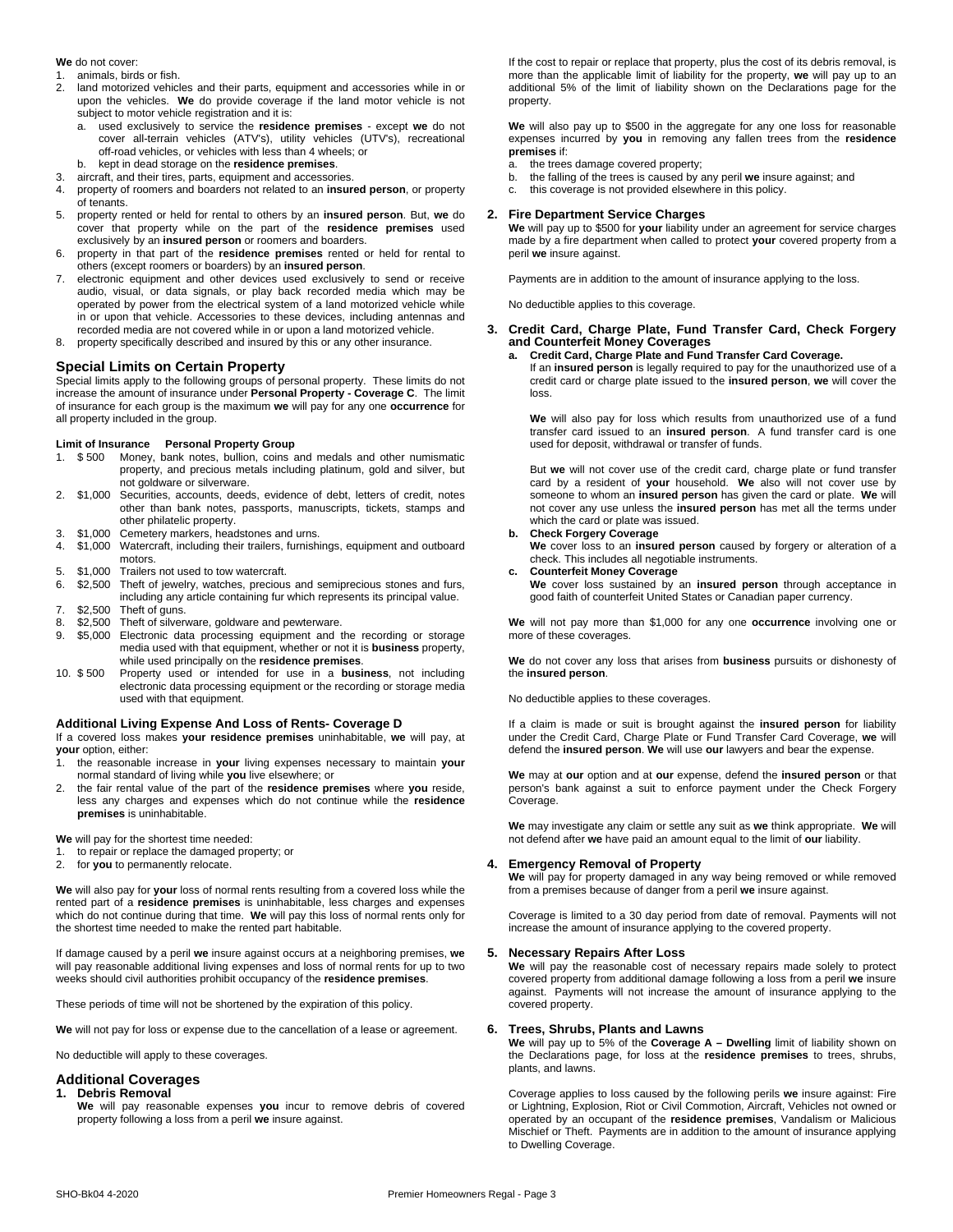#### **We** do not cover:

- 1. animals, birds or fish.
- 2. land motorized vehicles and their parts, equipment and accessories while in or upon the vehicles. **We** do provide coverage if the land motor vehicle is not subject to motor vehicle registration and it is:
	- a. used exclusively to service the **residence premises** except **we** do not cover all-terrain vehicles (ATV's), utility vehicles (UTV's), recreational off-road vehicles, or vehicles with less than 4 wheels; or
- b. kept in dead storage on the **residence premises**.
- 3. aircraft, and their tires, parts, equipment and accessories.
- 4. property of roomers and boarders not related to an **insured person**, or property of tenants.
- 5. property rented or held for rental to others by an **insured person**. But, **we** do cover that property while on the part of the **residence premises** used exclusively by an **insured person** or roomers and boarders.
- 6. property in that part of the **residence premises** rented or held for rental to others (except roomers or boarders) by an **insured person**.
- 7. electronic equipment and other devices used exclusively to send or receive audio, visual, or data signals, or play back recorded media which may be operated by power from the electrical system of a land motorized vehicle while in or upon that vehicle. Accessories to these devices, including antennas and recorded media are not covered while in or upon a land motorized vehicle.
- 8. property specifically described and insured by this or any other insurance.

#### **Special Limits on Certain Property**

Special limits apply to the following groups of personal property. These limits do not increase the amount of insurance under **Personal Property - Coverage C**. The limit of insurance for each group is the maximum **we** will pay for any one **occurrence** for all property included in the group.

#### **Limit of Insurance Personal Property Group**

- 1. \$ 500 Money, bank notes, bullion, coins and medals and other numismatic property, and precious metals including platinum, gold and silver, but not goldware or silverware.
- 2. \$1,000 Securities, accounts, deeds, evidence of debt, letters of credit, notes other than bank notes, passports, manuscripts, tickets, stamps and other philatelic property.
- 3. \$1,000 Cemetery markers, headstones and urns.
- \$1,000 Watercraft, including their trailers, furnishings, equipment and outboard motors.
- 5. \$1,000 Trailers not used to tow watercraft.<br>6. \$2,500 Theft of jewelry, watches, precious
- 6. \$2,500 Theft of jewelry, watches, precious and semiprecious stones and furs, including any article containing fur which represents its principal value. 7. \$2,500 Theft of guns.
- 8. \$2,500 Theft of silverware, goldware and pewterware.
- 9. \$5,000 Electronic data processing equipment and the recording or storage media used with that equipment, whether or not it is **business** property, while used principally on the **residence premises**.
- 10. \$ 500 Property used or intended for use in a **business**, not including electronic data processing equipment or the recording or storage media used with that equipment.

#### **Additional Living Expense And Loss of Rents- Coverage D**

If a covered loss makes **your residence premises** uninhabitable, **we** will pay, at **your** option, either:

- 1. the reasonable increase in **your** living expenses necessary to maintain **your** normal standard of living while **you** live elsewhere; or
- 2. the fair rental value of the part of the **residence premises** where **you** reside, less any charges and expenses which do not continue while the **residence premises** is uninhabitable.

**We** will pay for the shortest time needed:

- 1. to repair or replace the damaged property; or
- 2. for **you** to permanently relocate.

**We** will also pay for **your** loss of normal rents resulting from a covered loss while the rented part of a **residence premises** is uninhabitable, less charges and expenses which do not continue during that time. **We** will pay this loss of normal rents only for the shortest time needed to make the rented part habitable.

If damage caused by a peril **we** insure againstoccurs at a neighboring premises, **we** will pay reasonable additional living expenses and loss of normal rents for up to two weeks should civil authorities prohibit occupancy of the **residence premises**.

These periods of time will not be shortened by the expiration of this policy.

**We** will not pay for loss or expense due to the cancellation of a lease or agreement.

No deductible will apply to these coverages.

#### **Additional Coverages**

#### **1. Debris Removal**

**We** will pay reasonable expenses **you** incur to remove debris of covered property following a loss from a peril **we** insure against.

If the cost to repair or replace that property, plus the cost of its debris removal, is more than the applicable limit of liability for the property, **we** will pay up to an additional 5% of the limit of liability shown on the Declarations page for the property.

**We** will also pay up to \$500 in the aggregate for any one loss for reasonable expenses incurred by **you** in removing any fallen trees from the **residence premises** if:

- a. the trees damage covered property;
- b. the falling of the trees is caused by any peril **we** insure against; and
- c. this coverage is not provided elsewhere in this policy.

#### **2. Fire Department Service Charges**

**We** will pay up to \$500 for **your** liability under an agreement for service charges made by a fire department when called to protect **your** covered property from a peril **we** insure against.

Payments are in addition to the amount of insurance applying to the loss.

No deductible applies to this coverage.

#### **3. Credit Card, Charge Plate, Fund Transfer Card, Check Forgery and Counterfeit Money Coverages**

#### **a. Credit Card, Charge Plate and Fund Transfer Card Coverage.**

If an **insured person** is legally required to pay for the unauthorized use of a credit card or charge plate issued to the **insured person**, **we** will cover the loss.

**We** will also pay for loss which results from unauthorized use of a fund transfer card issued to an **insured person**. A fund transfer card is one used for deposit, withdrawal or transfer of funds.

But **we** will not cover use of the credit card, charge plate or fund transfer card by a resident of **your** household. **We** also willnot cover use by someone to whom an **insured person** has given the card or plate. **We** will not cover any use unless the **insured person** has met all the terms under which the card or plate was issued.

#### **b. Check Forgery Coverage**

**We** coverloss to an **insured person** caused by forgery or alteration of a check. This includes all negotiable instruments.

#### **c. Counterfeit Money Coverage**

**We** cover loss sustained by an **insured person** through acceptance in good faith of counterfeit United States or Canadian paper currency.

**We** will not pay more than \$1,000 for any one **occurrence** involving one or more of these coverages.

**We** do not cover any loss that arises from **business** pursuits or dishonesty of the **insured person**.

No deductible applies to these coverages.

If a claim is made or suit is brought against the **insured person** for liability under the Credit Card, Charge Plate or Fund Transfer Card Coverage, **we** will defend the **insured person**. **We** will use **our** lawyers and bear the expense.

**We** may at**our** option and at **our** expense, defend the **insured person** or that person's bank against a suit to enforce payment under the Check Forgery Coverage.

**We** may investigate any claim or settle any suit as **we** think appropriate. **We** will not defend after **we** have paid an amount equal to the limit of **our** liability.

#### **4. Emergency Removal of Property**

**We** will pay for property damaged in any way being removed or while removed from a premises because of danger from a peril **we** insure against.

Coverage is limited to a 30 day period from date of removal. Payments will not increase the amount of insurance applying to the covered property.

#### **5. Necessary Repairs After Loss**

We will pay the reasonable cost of necessary repairs made solely to protect covered property from additional damage following a loss from a peril **we** insure against. Payments will not increase the amount of insurance applying to the covered property.

#### **6. Trees, Shrubs, Plants and Lawns**

**We** will pay up to 5% of the **Coverage A – Dwelling** limit of liability shown on the Declarations page, for loss at the **residence premises** to trees, shrubs, plants, and lawns.

Coverage applies to loss caused by the following perils **we** insure against: Fire or Lightning, Explosion, Riot or Civil Commotion, Aircraft, Vehicles not owned or operated by an occupant of the **residence premises**, Vandalism or Malicious Mischief or Theft. Payments are in addition to the amount of insurance applying to Dwelling Coverage.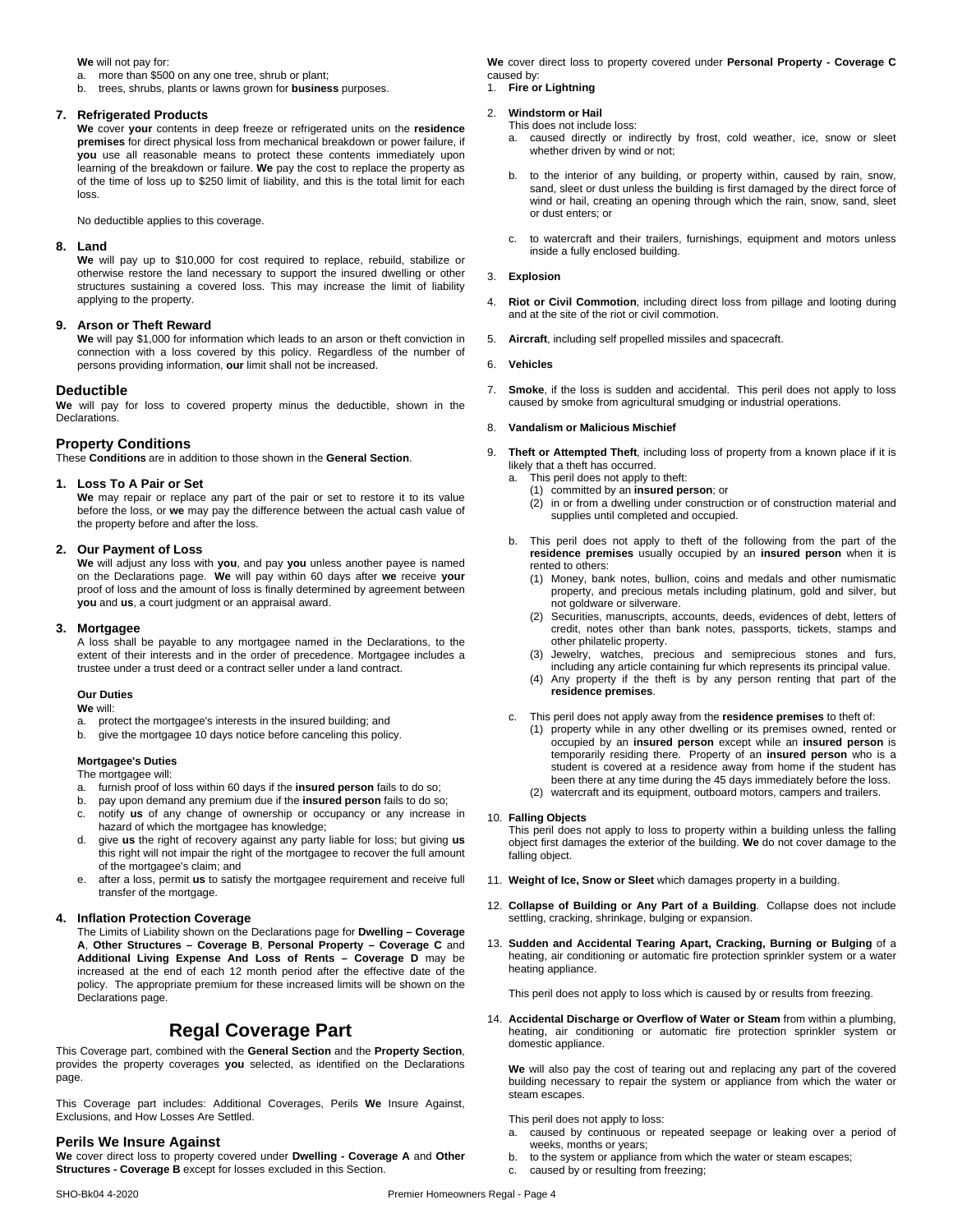**We** will not pay for:

a. more than \$500 on any one tree, shrub or plant;

b. trees, shrubs, plants or lawns grown for **business** purposes.

#### **7. Refrigerated Products**

**We** cover**your** contents in deep freeze or refrigerated units on the **residence premises** for direct physical loss from mechanical breakdown or power failure, if **you** use all reasonable means to protect these contents immediately upon learning of the breakdown or failure. **We** pay the cost to replace the property as of the time of loss up to \$250 limit of liability, and this is the total limit for each loss.

No deductible applies to this coverage.

#### **8. Land**

**We** will pay up to \$10,000 for cost required to replace, rebuild, stabilize or otherwise restore the land necessary to support the insured dwelling or other structures sustaining a covered loss. This may increase the limit of liability applying to the property.

#### **9. Arson or Theft Reward**

We will pay \$1,000 for information which leads to an arson or theft conviction in connection with a loss covered by this policy. Regardless of the number of persons providing information, **our** limit shall not be increased.

#### **Deductible**

**We** will pay for loss to covered property minus the deductible, shown in the Declarations.

#### **Property Conditions**

These **Conditions** are in addition to those shown in the **General Section**.

#### **1. Loss To A Pair or Set**

**We** may repair or replace any part of the pair or set to restore it to its value before the loss, or **we** may pay the difference between the actual cash value of the property before and after the loss.

#### **2. Our Payment of Loss**

**We** will adjust any loss with **you**, and pay **you** unless another payee is named on the Declarations page. **We** will pay within 60 days after **we** receive **your** proof of loss and the amount of loss is finally determined by agreement between **you** and us, a court judgment or an appraisal award.

#### **3. Mortgagee**

A loss shall be payable to any mortgagee named in the Declarations, to the extent of their interests and in the order of precedence. Mortgagee includes a trustee under a trust deed or a contract seller under a land contract.

#### **Our Duties**

**We** will:

- a. protect the mortgagee's interests in the insured building; and
- b. give the mortgagee 10 days notice before canceling this policy.

#### **Mortgagee's Duties**

The mortgagee will:

- a. furnish proof of loss within 60 days if the **insured person** fails to do so;
- b. pay upon demand any premium due if the **insured person** fails to do so;
- c. notify **us** of any change of ownership or occupancy or any increase in hazard of which the mortgagee has knowledge;
- d. give **us** the right ofrecovery against any party liable for loss; but giving **us** this right will not impair the right of the mortgagee to recover the full amount of the mortgagee's claim; and
- e. after a loss, permit **us** to satisfy the mortgagee requirement and receive full transfer of the mortgage.

#### **4. Inflation Protection Coverage**

The Limits of Liability shown on the Declarations page for **Dwelling – Coverage A**, **Other Structures – Coverage B**, **Personal Property – Coverage C** and **Additional Living Expense And Loss of Rents – Coverage D** may be increased at the end of each 12 month period after the effective date of the policy. The appropriate premium for these increased limits will be shown on the Declarations page.

### **Regal Coverage Part**

This Coverage part, combined with the **General Section** and the **Property Section**, provides the property coverages **you** selected, as identified on the Declarations page.

This Coverage part includes: Additional Coverages, Perils **We** Insure Against, Exclusions, and How Losses Are Settled.

#### **Perils We Insure Against**

**We** cover direct loss to property covered under**Dwelling - Coverage A** and**Other Structures - Coverage B** except for losses excluded in this Section.

**We** coverdirect loss to property covered under**Personal Property - Coverage C** caused by:

1. **Fire or Lightning**

#### 2. **Windstorm or Hail**

This does not include loss:

- a. caused directly or indirectly by frost, cold weather, ice, snow or sleet whether driven by wind or not;
- b. to the interior of any building, or property within, caused by rain, snow, sand, sleet or dust unless the building is first damaged by the direct force of wind or hail, creating an opening through which the rain, snow, sand, sleet or dust enters; or
- c. to watercraft and their trailers, furnishings, equipment and motors unless inside a fully enclosed building.

#### 3. **Explosion**

- 4. **Riot or Civil Commotion**, including direct loss from pillage and looting during and at the site of the riot or civil commotion.
- 5. **Aircraft**, including self propelled missiles and spacecraft.

#### 6. **Vehicles**

7. **Smoke**, if the loss is sudden and accidental. This peril does not apply to loss caused by smoke from agricultural smudging or industrial operations.

#### 8. **Vandalism or Malicious Mischief**

9. **Theft or Attempted Theft**, including loss of property from a known place ifit is likely that a theft has occurred.

- a. This peril does not apply to theft:
	- (1) committed by an **insured person**; or
	- $(2)$  in or from a dwelling under construction or of construction material and supplies until completed and occupied.
- b. This peril does not apply to theft of the following from the part of the **residence premises** usually occupied by an **insured person** when it is rented to others:
	- (1) Money, bank notes, bullion, coins and medals and other numismatic property, and precious metals including platinum, gold and silver, but not goldware or silverware.
	- (2) Securities, manuscripts, accounts, deeds, evidences of debt, letters of credit, notes other than bank notes, passports, tickets, stamps and other philatelic property.
	- (3) Jewelry, watches, precious and semiprecious stones and furs, including any article containing fur which represents its principal value.
	- (4) Any property if the theft is by any person renting that part of the **residence premises**.

c. This peril does not apply away from the **residence premises** to theft of:

- (1) property while in any other dwelling or its premises owned, rented or occupied by an **insured person** except while an **insured person** is temporarily residing there. Property of an **insured person** who is a student is covered at a residence away from home if the student has been there at any time during the 45 days immediately before the loss.
- (2) watercraft and its equipment, outboard motors,campers and trailers.

#### 10. **Falling Objects**

This peril does not apply to loss to property within a building unless the falling object first damages the exterior of the building. **We** do not cover damage to the falling object.

- 11. **Weight of Ice, Snow or Sleet** which damages property in a building.
- 12. **Collapse of Building or Any Part of a Building**. Collapse does not include settling, cracking, shrinkage, bulging or expansion.
- 13. **Sudden and Accidental Tearing Apart, Cracking, Burning or Bulging** of a heating, air conditioning or automatic fire protection sprinkler system or a water heating appliance.

This peril does not apply to loss which is caused by or results from freezing.

14. **Accidental Discharge or Overflow of Water or Steam** from within a plumbing, heating, air conditioning or automatic fire protection sprinkler system or domestic appliance.

We will also pay the cost of tearing out and replacing any part of the covered building necessary to repair the system or appliance from which the water or steam escapes.

This peril does not apply to loss:

- a. caused by continuous or repeated seepage or leaking over a period of weeks, months or years;
- b. to the system or appliance from which the water or steam escapes;
- c. caused by or resulting from freezing;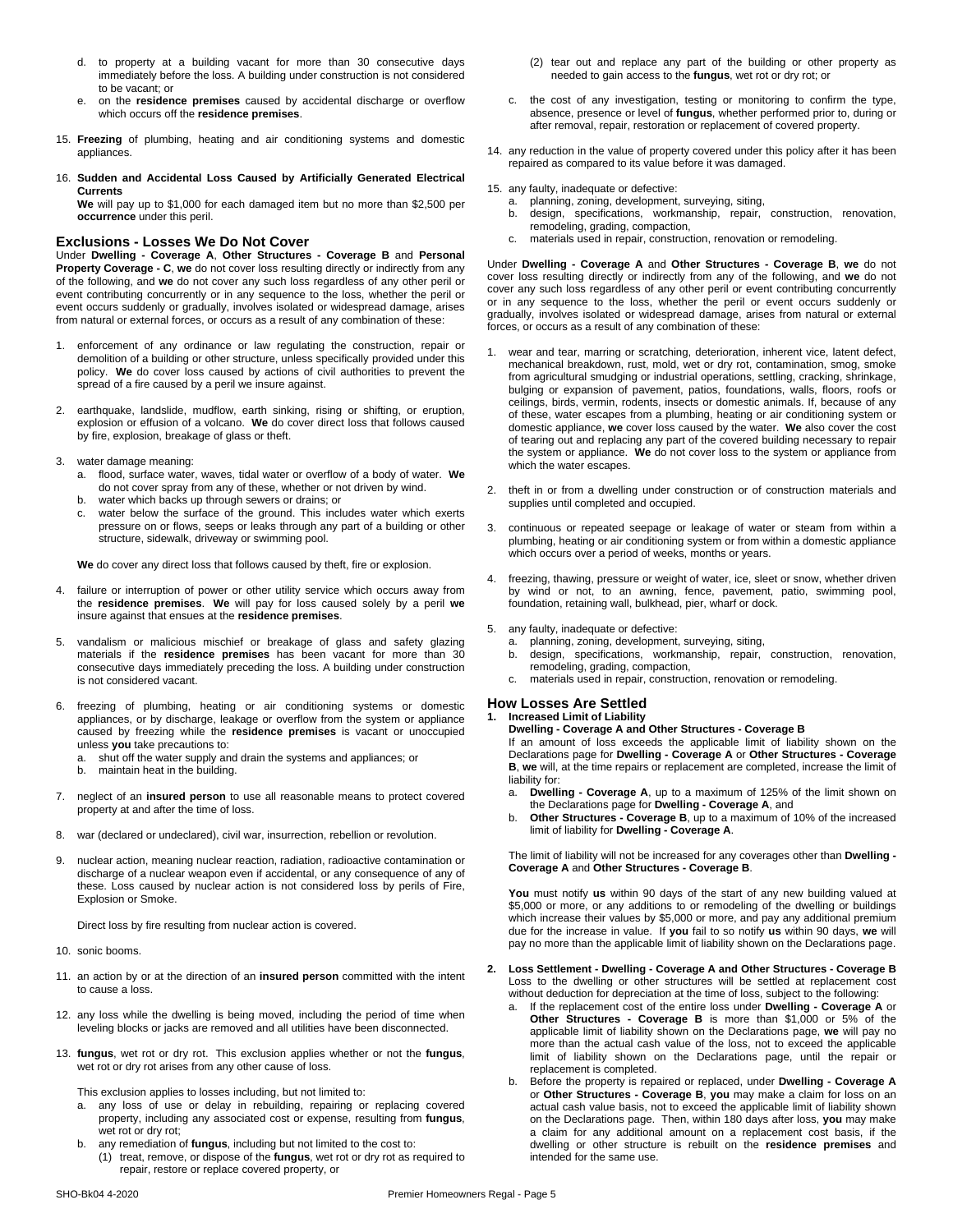- d. to property at a building vacant for more than 30 consecutive days immediately before the loss. A building under construction is not considered to be vacant; or
- e. on the **residence premises** caused by accidental discharge or overflow which occurs off the **residence premises**.
- 15. **Freezing** of plumbing, heating and air conditioning systems and domestic appliances.
- 16. **Sudden and Accidental Loss Caused by Artificially Generated Electrical Currents**

**We** will pay up to \$1,000 for each damaged item but no more than \$2,500 per **occurrence** under this peril.

#### **Exclusions - Losses We Do Not Cover**

Under **Dwelling - Coverage A**, **Other Structures - Coverage B** and **Personal Property Coverage - C**, **we** do not cover loss resulting directly or indirectly from any of the following, and **we** do not cover any such loss regardless of any other peril or event contributing concurrently or in any sequence to the loss, whether the peril or event occurs suddenly or gradually, involves isolated or widespread damage, arises from natural or external forces, or occurs as a result of any combination of these:

- 1. enforcement of any ordinance or law regulating the construction, repair or demolition of a building or other structure, unless specifically provided under this policy. We do cover loss caused by actions of civil authorities to prevent the spread of a fire caused by a peril we insure against.
- earthquake, landslide, mudflow, earth sinking, rising or shifting, or eruption, explosion or effusion of a volcano. We do cover direct loss that follows caused by fire, explosion, breakage of glass or theft.
- 3. water damage meaning:
	- a. flood, surface water, waves, tidal water or overflow of a body ofwater. **We** do not cover spray from any of these, whether or not driven by wind.
	- b. water which backs up through sewers or drains; or c. water below the surface of the ground. This includes water which exerts pressure on or flows, seeps or leaks through any part of a building or other structure, sidewalk, driveway or swimming pool.

We do cover any direct loss that follows caused by theft, fire or explosion.

- failure or interruption of power or other utility service which occurs away from the **residence premises**. **We** will pay for loss caused solely by a peril **we** insure against that ensues at the **residence premises**.
- 5. vandalism or malicious mischief or breakage of glass and safety glazing materials if the **residence premises** has been vacant for more than 30 b. consecutive days immediately preceding the loss. A building under construction is not considered vacant.
- 6. freezing of plumbing, heating or air conditioning systems or domestic appliances, or by discharge, leakage or overflow from the system or appliance caused by freezing while the **residence premises** is vacant or unoccupied unless **you** take precautions to:
	- a. shut off the water supply and drain the systems and appliances; or
	- b. maintain heat in the building.
- 7. neglect of an **insured person** to use all reasonable means to protect covered a. property at and after the time of loss.
- 8. war (declared or undeclared), civil war, insurrection, rebellion or revolution.
- 9. nuclear action, meaning nuclear reaction, radiation, radioactive contamination or discharge of a nuclear weapon even if accidental, or any consequence of any of these. Loss caused by nuclear action is not considered loss by perils of Fire, Explosion or Smoke.

Direct loss by fire resulting from nuclear action is covered.

- 10. sonic booms.
- 11. an action by or at the direction of an **insured person** committed with the intent to cause a loss.
- 12. any loss while the dwelling is being moved, including the period of time when leveling blocks or jacks are removed and all utilities have been disconnected.
- 13. **fungus**, wet rot or dry rot. This exclusion applies whether or not the **fungus**, wet rot or dry rot arises from any other cause of loss.

This exclusion applies to losses including, but not limited to:

- a. any loss of use or delay in rebuilding, repairing or replacing covered property, including any associated cost or expense, resulting from **fungus**, wet rot or dry rot;
- b. any remediation of **fungus**, including but not limited to the cost to:
- (1) treat, remove, or dispose of the **fungus**, wet rot or dry rot as required to repair, restore or replace covered property, or
- (2) tear out and replace any part of the building or other property as needed to gain access to the **fungus**, wet rot or dry rot; or
- c. the cost of any investigation, testing or monitoring to confirm the type, absence, presence or level of **fungus**, whether performed prior to, during or after removal, repair, restoration or replacement of covered property.
- 14. any reduction in the value of property covered under this policy after it has been repaired as compared to its value before it was damaged.

15. any faulty, inadequate or defective:

- a. planning, zoning, development, surveying, siting,
- b. design, specifications, workmanship, repair, construction, renovation, remodeling, grading, compaction,
- c. materials used in repair, construction, renovation or remodeling.

Under **Dwelling - Coverage A** and**Other Structures - Coverage B**, **we** do not cover loss resulting directly or indirectly from any of the following, and **we** do not cover any such loss regardless of any other peril or event contributing concurrently or in any sequence to the loss, whether the peril or event occurs suddenly or gradually, involves isolated or widespread damage, arises from natural or external forces, or occurs as a result of any combination of these:

- wear and tear, marring or scratching, deterioration, inherent vice, latent defect, mechanical breakdown, rust, mold, wet or dry rot, contamination, smog, smoke from agricultural smudging or industrial operations, settling, cracking, shrinkage, bulging or expansion of pavement, patios, foundations, walls, floors, roofs or ceilings, birds, vermin, rodents, insects or domestic animals. If, because of any of these, water escapes from a plumbing, heating or air conditioning system or domestic appliance, **we** cover loss caused by the water. **We** also cover the cost of tearing out and replacing any part of the covered building necessary to repair the system or appliance. **We** do not cover loss to the system or appliance from which the water escapes.
- 2. theft in or from a dwelling under construction or of construction materials and supplies until completed and occupied.
- 3. continuous or repeated seepage or leakage of water or steam from within a plumbing, heating or air conditioning system or from within a domestic appliance which occurs over a period of weeks, months or years.
- freezing, thawing, pressure or weight of water, ice, sleet or snow, whether driven by wind or not, to an awning, fence, pavement, patio, swimming pool, foundation, retaining wall, bulkhead, pier, wharf or dock.
- 5. any faulty, inadequate or defective:
	- a. planning, zoning, development, surveying, siting,
	- design, specifications, workmanship, repair, construction, renovation, remodeling, grading, compaction,
	- c. materials used in repair, construction, renovation or remodeling.

### **How Losses Are Settled**

#### **1. Increased Limit of Liability**

**Dwelling - Coverage A and Other Structures - Coverage B** If an amount of loss exceeds the applicable limit of liability shown on the Declarations page for **Dwelling - Coverage A** or **Other Structures - Coverage B**, **we** will, at the time repairs or replacement are completed, increase the limit of liability for:

- a. **Dwelling - Coverage A**, up to a maximum of 125% of the limit shown on the Declarations page for **Dwelling - Coverage A**, and
- b. **Other Structures - Coverage B**, up to a maximum of 10% of the increased limit of liability for **Dwelling - Coverage A**.

The limit of liability will not be increased for any coverages other than **Dwelling - Coverage A** and **Other Structures - Coverage B**.

You must notify us within 90 days of the start of any new building valued at \$5,000 or more, or any additions to or remodeling of the dwelling or buildings which increase their values by \$5,000 or more, and pay any additional premium due for the increase in value. If **you** fail to so notify **us** within 90 days, **we** will pay no more than the applicable limit of liability shown on the Declarations page.

- **2. Loss Settlement - Dwelling - Coverage A and OtherStructures - Coverage B** Loss to the dwelling or other structures will be settled at replacement cost without deduction for depreciation at the time of loss, subject to the following:
	- a. If the replacement cost of the entire loss under **Dwelling - Coverage A** or **Other Structures - Coverage B** is more than \$1,000 or 5% of the applicable limit of liability shown on the Declarations page,**we** will pay no more than the actual cash value of the loss, not to exceed the applicable limit of liability shown on the Declarations page, until the repair or replacement is completed.
	- b. Before the property is repaired or replaced, under **Dwelling - Coverage A** or **Other Structures - Coverage B**, **you** may make a claim for loss on an actual cash value basis, not to exceed the applicable limit of liability shown on the Declarations page. Then, within 180 days after loss, you may make a claim for any additional amount on a replacement cost basis, if the dwelling or other structure is rebuilt on the **residence premises** and intended for the same use.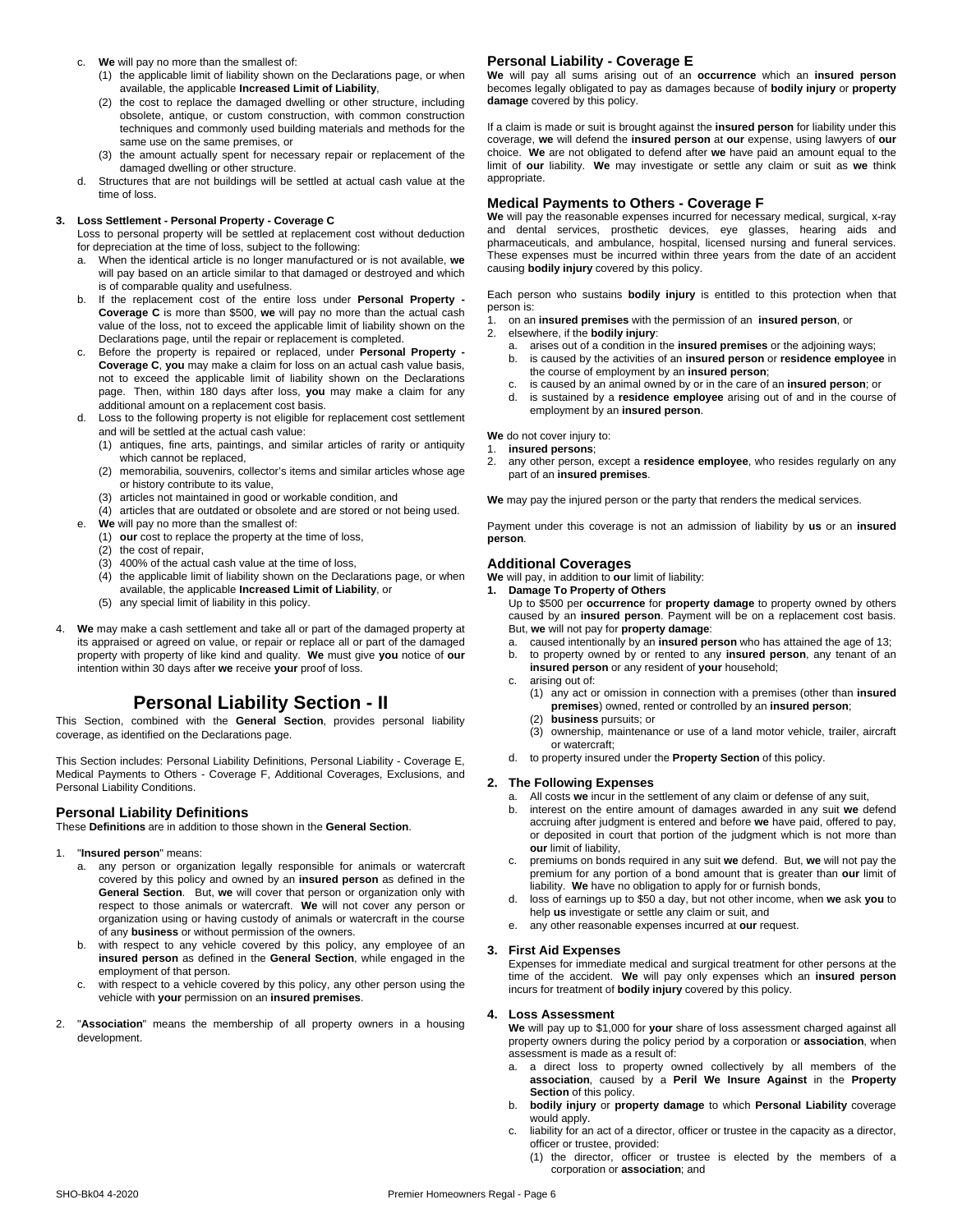#### c. **We** will pay no more than the smallest of:

- (1) the applicable limit of liability shown on the Declarations page, or when available, the applicable **Increased Limit of Liability**,
- (2) the cost to replace the damaged dwelling or other structure, including obsolete, antique, or custom construction, with common construction techniques and commonly used building materials and methods for the same use on the same premises, or
- (3) the amount actually spent for necessary repair or replacement of the damaged dwelling or other structure.
- d. Structures that are not buildings will be settled at actual cash value at the time of loss.

#### **3. Loss Settlement - Personal Property - Coverage C**

Loss to personal property will be settled at replacement cost without deduction for depreciation at the time of loss, subject to the following:

- a. When the identical article is no longer manufactured or is not available, **we** will pay based on an article similar to that damaged or destroyed and which is of comparable quality and usefulness.
- b. If the replacement cost of the entire loss under **Personal Property - Coverage C** is more than \$500, **we** will pay no more than the actual cash value of the loss, not to exceed the applicable limit of liability shown on the Declarations page, until the repair or replacement is completed.
- c. Before the property is repaired or replaced, under **Personal Property - Coverage C**, **you** may make a claim for loss on an actual cash value basis, not to exceed the applicable limit of liability shown on the Declarations page. Then, within 180 days after loss, **you** may make a claim for any additional amount on a replacement cost basis.
- Loss to the following property is not eligible for replacement cost settlement and will be settled at the actual cash value:
	- (1) antiques, fine arts, paintings, and similar articles of rarity or antiquity which cannot be replaced,
	- (2) memorabilia, souvenirs, collector's items and similar articles whose age or history contribute to its value,
	- (3) articles not maintained in good or workable condition, and
- (4) articles that are outdated or obsolete and are stored or not being used. e. **We** will pay no more than the smallest of:
	- (1) **our** cost to replace the property at the time of loss,
	- (2) the cost of repair,
	- (3) 400% of the actual cash value at the time of loss,
	- $(4)$  the applicable limit of liability shown on the Declarations page, or when available, the applicable **Increased Limit of Liability**, or
	-
	- (5) any special limit of liability in this policy.
- 4. **We** may make a cash settlement and take all or part of the damaged property at its appraised or agreed on value, or repair or replace all or part of the damaged property with property of like kind and quality.**We** must give **you** notice of**our** intention within 30 days after **we** receive **your** proof of loss.

## **Personal Liability Section - II**

This Section, combined with the **General Section**, provides personal liability coverage, as identified on the Declarations page.

This Section includes: Personal Liability Definitions, Personal Liability - Coverage E, Medical Payments to Others - Coverage F, Additional Coverages, Exclusions, and Personal Liability Conditions.

#### **Personal Liability Definitions**

These **Definitions** are in addition to those shown in the **General Section**.

- 1. "**Insured person**" means:
	- a. any person or organization legally responsible for animals or watercraft covered by this policy and owned by an **insured person** as defined in the **General Section**. But, **we** will cover that person or organization only with respect to those animals or watercraft. **We** will not cover any person or organization using or having custody of animals or watercraft in the course of any **business** or without permission of the owners.
	- b. with respect to any vehicle covered by this policy, any employee of an **insured person** as defined in the **General Section**, while engaged in the employment of that person.
	- c. with respect to a vehicle covered by this policy, any other person using the vehicle with **your** permission on an **insured premises**.
- 2. "**Association**" means the membership of all property owners in a housing development.

#### **Personal Liability - Coverage E**

**We** will pay all sums arising out of an **occurrence** which an **insured person** becomes legally obligated to pay as damages because of **bodily injury** or **property damage** covered by this policy.

If a claim is made or suit is brought against the **insured person** for liability under this coverage, **we** will defend the **insured person** at **our** expense, using lawyers of **our** choice. We are not obligated to defend after we have paid an amount equal to the limit of **our** liability. **We** may investigate or settle any claim or suit as **we** think appropriate.

#### **Medical Payments to Others - Coverage F**

**We** will pay the reasonable expenses incurred for necessary medical, surgical, x-ray and dental services, prosthetic devices, eye glasses, hearing aids and pharmaceuticals, and ambulance, hospital, licensed nursing and funeral services. These expenses must be incurred within three years from the date of an accident causing **bodily injury** covered by this policy.

Each person who sustains **bodily injury** is entitled to this protection when that person is:

- 1. on an **insured premises** with the permission of an **insured person**, or
- 2. elsewhere, if the **bodily injury**:
	- a. arises out of a condition in the **insured premises** or the adjoining ways;
	- b. is caused by the activities of an **insured person** or **residence employee** in the course of employment by an **insured person**;
	- is caused by an animal owned by or in the care of an *insured person*; or
	- d. is sustained by a **residence employee** arising out of and in the course of employment by an **insured person**.

**We** do not cover injury to:

- 1. **insured persons**;
- 2. any other person, except a **residence employee**, who resides regularly on any part of an **insured premises**.

**We** may pay the injured person or the party that renders the medical services.

Payment under this coverage is not an admission of liability by **us** or an **insured person**.

#### **Additional Coverages**

**We** will pay, in addition to **our** limit of liability:

- **1. Damage To Property of Others**
	- Up to \$500 per **occurrence** for **property damage** to property owned by others caused by an **insured person**. Payment will be on a replacement cost basis. But, **we** will not pay for **property damage**:
	- a. caused intentionally by an **insured person** who has attained the age of 13;
	- b. to property owned by or rented to any **insured person**, any tenant of an **insured person** or any resident of **your** household;
	- c. arising out of:
		- (1) any act or omission in connection with a premises (other than **insured premises**) owned, rented or controlled by an **insured person**;
		- (2) **business** pursuits; or
		- (3) ownership, maintenance or use of a land motor vehicle, trailer, aircraft or watercraft;
	- d. to property insured under the **Property Section** of this policy.

#### **2. The Following Expenses**

- a. All costs **we** incur in the settlement of any claim or defense of any suit,
- b. interest on the entire amount of damages awarded in any suit **we** defend accruing after judgment is entered and before **we** have paid, offered to pay, or deposited in court that portion of the judgment which is not more than **our** limit of liability,
- premiums on bonds required in any suit we defend. But, we will not pay the premium for any portion of a bond amount that is greater than **our** limit of liability. **We** have no obligation to apply for or furnish bonds,
- loss of earnings up to \$50 a day, but not other income, when we ask you to help **us** investigate or settle any claim or suit, and
- e. any other reasonable expenses incurred at **our** request.

#### **3. First Aid Expenses**

Expenses for immediate medical and surgical treatment for other persons at the time of the accident. **We** will pay only expenses which an **insured person** incurs for treatment of **bodily injury** covered by this policy.

#### **4. Loss Assessment**

**We** will pay up to \$1,000 for **your** share of loss assessment charged againstall property owners during the policy period by a corporation or **association**, when assessment is made as a result of:

- a direct loss to property owned collectively by all members of the **association**, caused by a **Peril We Insure Against** in the **Property Section** of this policy.
- b. **bodily injury** or **property damage** to which **Personal Liability** coverage would apply.
- c. liability for an act of a director, officer or trustee in the capacity as a director, officer or trustee, provided:
	- (1) the director, officer or trustee is elected by the members of a corporation or **association**; and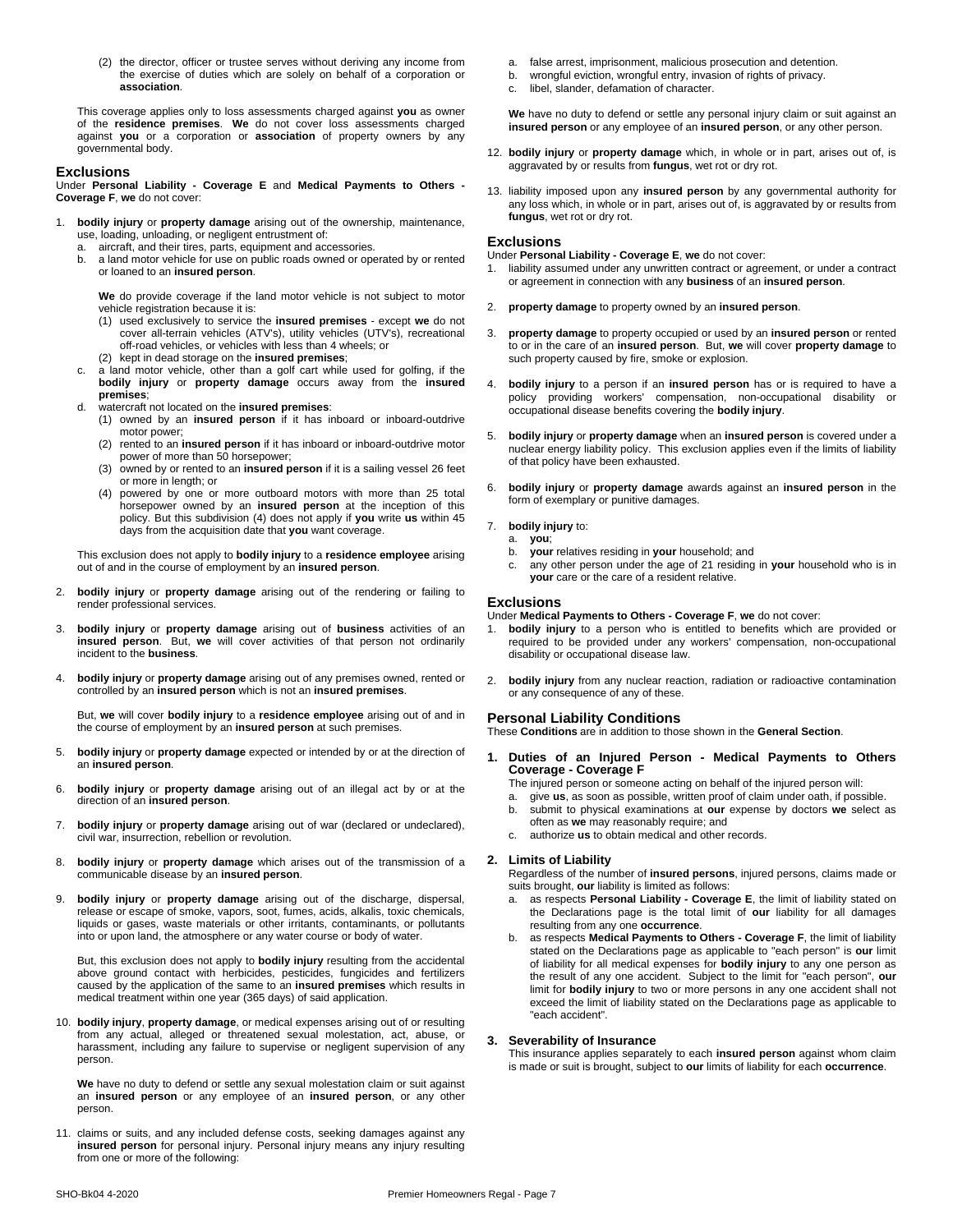(2) the director, officer or trustee serves without deriving any income from the exercise of duties which are solely on behalf of a corporation or **association**.

This coverage applies only to loss assessments charged against**you** as owner of the **residence premises**. **We** do not cover loss assessments charged against **you** or a corporation or **association** of property owners by any governmental body.

#### **Exclusions**

Under **Personal Liability - Coverage E** and **Medical Payments to Others - Coverage F**, **we** do not cover:

- 1. **bodily injury** or **property damage** arising out of the ownership, maintenance, use, loading, unloading, or negligent entrustment of:
	- a. aircraft, and their tires, parts, equipment and accessories.
	- b. a land motor vehicle for use on public roads owned or operated by or rented or loaned to an **insured person**.

We do provide coverage if the land motor vehicle is not subject to motor vehicle registration because it is:

- (1) used exclusively to service the **insured premises** except **we** do not cover all-terrain vehicles (ATV's), utility vehicles (UTV's), recreational off-road vehicles, or vehicles with less than 4 wheels; or
- (2) kept in dead storage on the **insured premises**;
- c. a land motor vehicle, other than a golf cart while used for golfing, if the **bodily injury** or **property damage** occurs away from the **insured premises**;
- d. watercraft not located on the **insured premises**:
	- (1) owned by an **insured person** if it has inboard or inboard-outdrive motor power;
	- (2) rented to an **insured person** if it has inboard or inboard-outdrive motor power of more than 50 horsepower;
	- (3) owned by or rented to an **insured person** if it is a sailing vessel 26 feet or more in length; or
	- (4) powered by one or more outboard motors with more than 25 total horsepower owned by an **insured person** at the inception of this policy. But this subdivision (4) does not apply if **you** write **us** within 45 days from the acquisition date that **you** want coverage.

This exclusion does not apply to **bodily injury** to a **residence employee** arising out of and in the course of employment by an **insured person**.

- 2. **bodily injury** or **property damage** arising out of the rendering or failing to render professional services.
- 3. **bodily injury** or **property damage** arising out of **business** activities of an **insured person**. But, **we** will cover activities of that person not ordinarily incident to the **business**.
- 4. **bodily injury** or **property damage** arising out of any premises owned, rented or controlled by an **insured person** which is not an **insured premises**.

But, **we** will cover **bodily injury** to a **residence employee** arising out of and in the course of employment by an **insured person** at such premises.

- 5. **bodily injury** or **property damage** expected or intended by or at the direction of an **insured person**.
- 6. **bodily injury** or **property damage** arising out of an illegal act by or atthe direction of an **insured person**.
- 7. **bodily injury** or **property damage** arising out of war (declared or undeclared), civil war, insurrection, rebellion or revolution.
- 8. **bodily injury** or **property damage** which arises out of the transmission of a communicable disease by an **insured person**.
- 9. **bodily injury** or **property damage** arising out of the discharge, dispersal, release or escape of smoke, vapors, soot, fumes, acids, alkalis, toxic chemicals, liquids or gases, waste materials or other irritants, contaminants, or pollutants into or upon land, the atmosphere or any water course or body of water.

But, this exclusion does not apply to **bodily injury** resulting from the accidental above ground contact with herbicides, pesticides, fungicides and fertilizers caused by the application of the same to an **insured premises** which results in medical treatment within one year (365 days) of said application.

10. **bodily injury**, **property damage**, or medical expenses arising out of or resulting from any actual, alleged or threatened sexual molestation, act, abuse, or harassment, including any failure to supervise or negligent supervision of any person.

**We** have no duty to defend or settle any sexual molestation claim or suit against an **insured person** or any employee of an **insured person**, or any other person.

11. claims or suits, and any included defense costs, seeking damages against any **insured person** for personal injury. Personal injury means any injury resulting from one or more of the following:

- a. false arrest, imprisonment, malicious prosecution and detention.
- b. wrongful eviction, wrongful entry, invasion of rights of privacy.
- c. libel, slander, defamation of character.

**We** have no duty to defend or settle any personal injury claim or suit against an **insured person** or any employee of an **insured person**, or any other person.

- 12. **bodily injury** or **property damage** which, in whole or in part, arises out of, is aggravated by or results from **fungus**, wet rot or dry rot.
- 13. liability imposed upon any **insured person** byany governmental authority for any loss which, in whole or in part, arises out of, is aggravated by or results from **fungus**, wet rot or dry rot.

#### **Exclusions**

Under **Personal Liability - Coverage E**, **we** do not cover:

- 1. liability assumed under any unwritten contract or agreement, or under a contract or agreement in connection with any **business** of an **insured person**.
- 2. **property damage** to property owned by an **insured person**.
- 3. **property damage** to property occupied or used by an **insured person** or rented to or in the care of an **insured person**. But, **we** will cover **property damage** to such property caused by fire, smoke or explosion.
- 4. **bodily injury** to a person if an **insured person** has or is required to have a policy providing workers' compensation, non-occupational disability or occupational disease benefits covering the **bodily injury**.
- 5. **bodily injury** or **property damage** when an **insured person** is covered undera nuclear energy liability policy. This exclusion applies even if the limits of liability of that policy have been exhausted.
- 6. **bodily injury** or **property damage** awards against an **insured person** in the form of exemplary or punitive damages.
- 7. **bodily injury** to:
	- a. **you**;
	- b. **your** relatives residing in **your** household; and
	- c. any other person under the age of 21 residing in your household who is in **your** care or the care of a resident relative.

#### **Exclusions**

Under **Medical Payments to Others - Coverage F**, **we** do not cover:

- 1. **bodily injury** to a person who is entitled to benefits which are provided or required to be provided under any workers' compensation, non-occupational disability or occupational disease law.
- 2. **bodily injury** from any nuclear reaction, radiation or radioactive contamination or any consequence of any of these.

#### **Personal Liability Conditions**

These **Conditions** are in addition to those shown in the **General Section**.

- **1. Duties of an Injured Person - Medical Payments to Others Coverage - Coverage F**
	- The injured person or someone acting on behalf of the injured person will:
	- a. give **us**, as soon as possible, written proof of claim under oath, if possible.
	- b. submit to physical examinations at **our** expense by doctors **we** select as often as **we** may reasonably require; and
	- c. authorize **us** to obtain medical and other records.

#### **2. Limits of Liability**

Regardless of the number of **insured persons**, injured persons, claims made or suits brought, **our** liability is limited as follows:

- a. as respects **Personal Liability - Coverage E**, the limit of liability stated on the Declarations page is the total limit of **our** liability for all damages resulting from any one **occurrence**.
- b. as respects **Medical Payments to Others - Coverage F**, the limit of liability stated on the Declarations page as applicable to "each person" is **our** limit of liability for allmedical expenses for **bodily injury** to any one person as the result of any one accident. Subject to the limit for "each person", **our** limit for **bodily injury** to two or more persons in any one accident shall not exceed the limit of liability stated on the Declarations page as applicable to "each accident".

#### **3. Severability of Insurance**

This insurance applies separately to each **insured person** against whom claim is made or suit is brought, subject to **our** limits of liability for each **occurrence**.